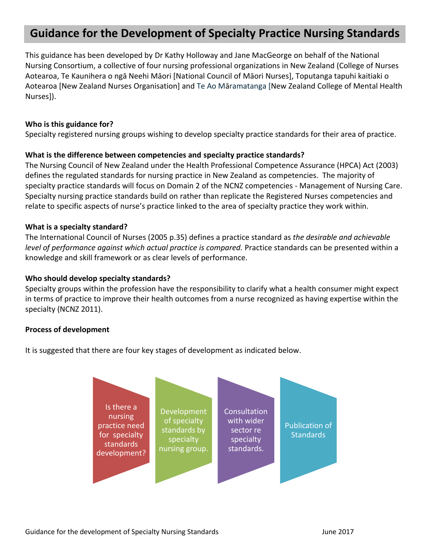# **Guidance for the Development of Specialty Practice Nursing Standards**

This guidance has been developed by Dr Kathy Holloway and Jane MacGeorge on behalf of the National Nursing Consortium, a collective of four nursing professional organizations in New Zealand (College of Nurses Aotearoa, Te Kaunihera o ngā Neehi Māori [National Council of Māori Nurses], Toputanga tapuhi kaitiaki o Aotearoa [New Zealand Nurses Organisation] and Te Ao Māramatanga [New Zealand College of Mental Health Nurses]).

## **Who is this guidance for?**

Specialty registered nursing groups wishing to develop specialty practice standards for their area of practice.

### **What is the difference between competencies and specialty practice standards?**

The Nursing Council of New Zealand under the Health Professional Competence Assurance (HPCA) Act (2003) defines the regulated standards for nursing practice in New Zealand as competencies. The majority of specialty practice standards will focus on Domain 2 of the NCNZ competencies - Management of Nursing Care. Specialty nursing practice standards build on rather than replicate the Registered Nurses competencies and relate to specific aspects of nurse's practice linked to the area of specialty practice they work within.

#### **What is a specialty standard?**

The International Council of Nurses (2005 p.35) defines a practice standard as *the desirable and achievable level of performance against which actual practice is compared.* Practice standards can be presented within a knowledge and skill framework or as clear levels of performance.

#### **Who should develop specialty standards?**

Specialty groups within the profession have the responsibility to clarify what a health consumer might expect in terms of practice to improve their health outcomes from a nurse recognized as having expertise within the specialty (NCNZ 2011).

# **Process of development**

It is suggested that there are four key stages of development as indicated below.

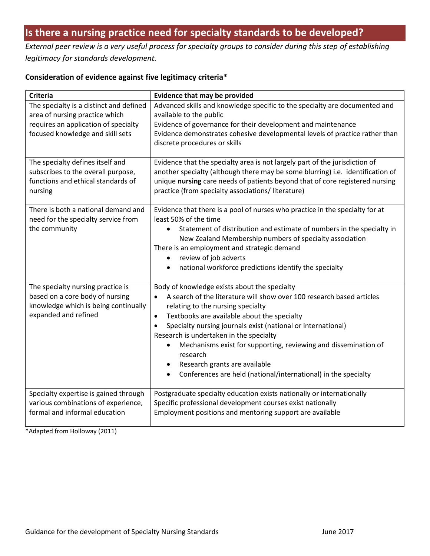# **Is there a nursing practice need for specialty standards to be developed?**

*External peer review is a very useful process for specialty groups to consider during this step of establishing legitimacy for standards development.* 

# **Consideration of evidence against five legitimacy criteria\***

| <b>Criteria</b>                                                                                                                                       | <b>Evidence that may be provided</b>                                                                                                                                                                                                                                                                                                                                                                                                                                                                                             |  |
|-------------------------------------------------------------------------------------------------------------------------------------------------------|----------------------------------------------------------------------------------------------------------------------------------------------------------------------------------------------------------------------------------------------------------------------------------------------------------------------------------------------------------------------------------------------------------------------------------------------------------------------------------------------------------------------------------|--|
| The specialty is a distinct and defined<br>area of nursing practice which<br>requires an application of specialty<br>focused knowledge and skill sets | Advanced skills and knowledge specific to the specialty are documented and<br>available to the public<br>Evidence of governance for their development and maintenance<br>Evidence demonstrates cohesive developmental levels of practice rather than<br>discrete procedures or skills                                                                                                                                                                                                                                            |  |
| The specialty defines itself and<br>subscribes to the overall purpose,<br>functions and ethical standards of<br>nursing                               | Evidence that the specialty area is not largely part of the jurisdiction of<br>another specialty (although there may be some blurring) i.e. identification of<br>unique nursing care needs of patients beyond that of core registered nursing<br>practice (from specialty associations/literature)                                                                                                                                                                                                                               |  |
| There is both a national demand and<br>need for the specialty service from<br>the community                                                           | Evidence that there is a pool of nurses who practice in the specialty for at<br>least 50% of the time<br>Statement of distribution and estimate of numbers in the specialty in<br>New Zealand Membership numbers of specialty association<br>There is an employment and strategic demand<br>review of job adverts<br>$\bullet$<br>national workforce predictions identify the specialty<br>$\bullet$                                                                                                                             |  |
| The specialty nursing practice is<br>based on a core body of nursing<br>knowledge which is being continually<br>expanded and refined                  | Body of knowledge exists about the specialty<br>A search of the literature will show over 100 research based articles<br>relating to the nursing specialty<br>Textbooks are available about the specialty<br>$\bullet$<br>Specialty nursing journals exist (national or international)<br>Research is undertaken in the specialty<br>Mechanisms exist for supporting, reviewing and dissemination of<br>$\bullet$<br>research<br>Research grants are available<br>Conferences are held (national/international) in the specialty |  |
| Specialty expertise is gained through<br>various combinations of experience,<br>formal and informal education                                         | Postgraduate specialty education exists nationally or internationally<br>Specific professional development courses exist nationally<br>Employment positions and mentoring support are available                                                                                                                                                                                                                                                                                                                                  |  |

\*Adapted from Holloway (2011)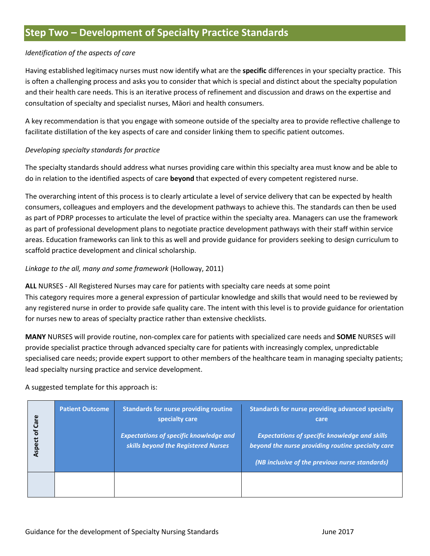### *Identification of the aspects of care*

Having established legitimacy nurses must now identify what are the **specific** differences in your specialty practice. This is often a challenging process and asks you to consider that which is special and distinct about the specialty population and their health care needs. This is an iterative process of refinement and discussion and draws on the expertise and consultation of specialty and specialist nurses, Māori and health consumers.

A key recommendation is that you engage with someone outside of the specialty area to provide reflective challenge to facilitate distillation of the key aspects of care and consider linking them to specific patient outcomes.

#### *Developing specialty standards for practice*

The specialty standards should address what nurses providing care within this specialty area must know and be able to do in relation to the identified aspects of care **beyond** that expected of every competent registered nurse.

The overarching intent of this process is to clearly articulate a level of service delivery that can be expected by health consumers, colleagues and employers and the development pathways to achieve this. The standards can then be used as part of PDRP processes to articulate the level of practice within the specialty area. Managers can use the framework as part of professional development plans to negotiate practice development pathways with their staff within service areas. Education frameworks can link to this as well and provide guidance for providers seeking to design curriculum to scaffold practice development and clinical scholarship.

# *Linkage to the all, many and some framework* (Holloway, 2011)

**ALL** NURSES - All Registered Nurses may care for patients with specialty care needs at some point This category requires more a general expression of particular knowledge and skills that would need to be reviewed by any registered nurse in order to provide safe quality care. The intent with this level is to provide guidance for orientation for nurses new to areas of specialty practice rather than extensive checklists.

**MANY** NURSES will provide routine, non-complex care for patients with specialized care needs and **SOME** NURSES will provide specialist practice through advanced specialty care for patients with increasingly complex, unpredictable specialised care needs; provide expert support to other members of the healthcare team in managing specialty patients; lead specialty nursing practice and service development.

#### A suggested template for this approach is:

| <b>Aspect of Care</b> | <b>Patient Outcome</b> | <b>Standards for nurse providing routine</b><br>specialty care<br><b>Expectations of specific knowledge and</b><br>skills beyond the Registered Nurses | Standards for nurse providing advanced specialty<br>care<br><b>Expectations of specific knowledge and skills</b><br>beyond the nurse providing routine specialty care<br>(NB inclusive of the previous nurse standards) |
|-----------------------|------------------------|--------------------------------------------------------------------------------------------------------------------------------------------------------|-------------------------------------------------------------------------------------------------------------------------------------------------------------------------------------------------------------------------|
|                       |                        |                                                                                                                                                        |                                                                                                                                                                                                                         |